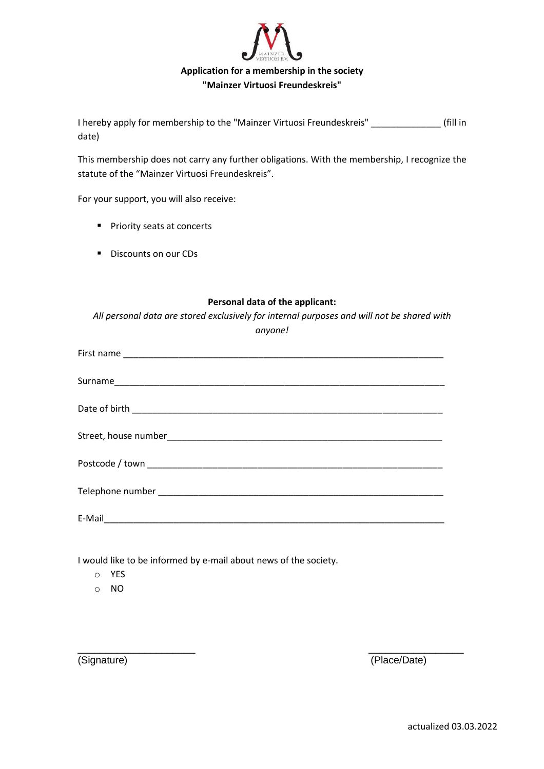

I hereby apply for membership to the "Mainzer Virtuosi Freundeskreis" \_\_\_\_\_\_\_\_\_\_\_\_\_\_ (fill in date)

This membership does not carry any further obligations. With the membership, I recognize the statute of the "Mainzer Virtuosi Freundeskreis".

For your support, you will also receive:

- Priority seats at concerts
- Discounts on our CDs

## **Personal data of the applicant:**

*All personal data are stored exclusively for internal purposes and will not be shared with anyone!*

 $\overline{\phantom{a}}$  , and the contract of the contract of the contract of the contract of the contract of the contract of the contract of the contract of the contract of the contract of the contract of the contract of the contrac

I would like to be informed by e-mail about news of the society.

- o YES
- o NO

(Signature) (Place/Date)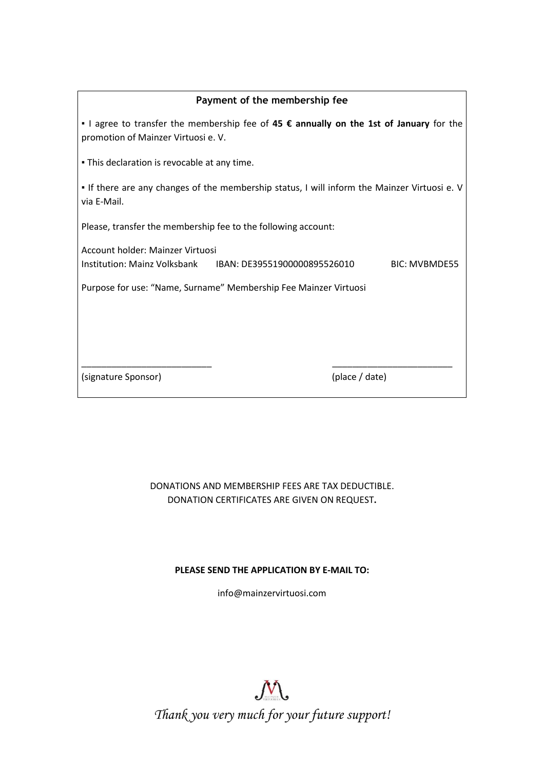| Payment of the membership fee                                                                                                         |  |  |
|---------------------------------------------------------------------------------------------------------------------------------------|--|--|
| I agree to transfer the membership fee of 45 $\epsilon$ annually on the 1st of January for the<br>promotion of Mainzer Virtuosi e. V. |  |  |
| . This declaration is revocable at any time.                                                                                          |  |  |
| • If there are any changes of the membership status, I will inform the Mainzer Virtuosi e. V<br>via E-Mail.                           |  |  |
| Please, transfer the membership fee to the following account:                                                                         |  |  |
| Account holder: Mainzer Virtuosi<br>Institution: Mainz Volksbank BBAN: DE39551900000895526010<br><b>BIC: MVBMDE55</b>                 |  |  |
| Purpose for use: "Name, Surname" Membership Fee Mainzer Virtuosi                                                                      |  |  |
|                                                                                                                                       |  |  |
|                                                                                                                                       |  |  |
| (signature Sponsor)<br>(place / date)                                                                                                 |  |  |

## DONATIONS AND MEMBERSHIP FEES ARE TAX DEDUCTIBLE. DONATION CERTIFICATES ARE GIVEN ON REQUEST**.**

## **PLEASE SEND THE APPLICATION BY E-MAIL TO:**

[info@mainzervirtuosi.com](mailto:info@mainzervirtuosi.com)



*Thank you very much for your future support!*